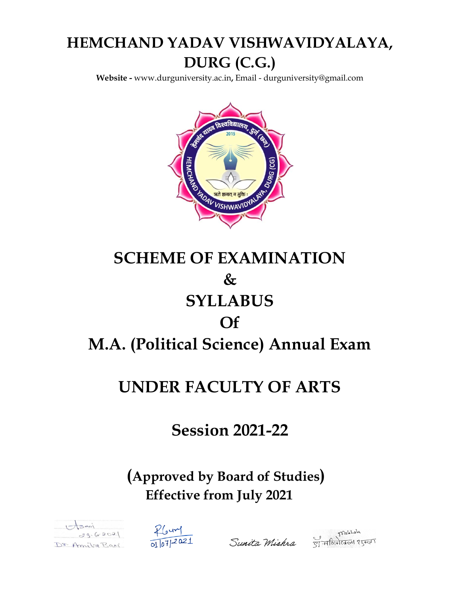## **HEMCHAND YADAV VISHWAVIDYALAYA, DURG (C.G.)**

**Website -** [www.durguniversity.ac.in](http://www.durguniversity.ac.in/)**,** Email - [durguniversity@gmail.com](mailto:Email%20-%20durguniversity@gmail.com)



# **SCHEME OF EXAMINATION & SYLLABUS Of M.A. (Political Science) Annual Exam**

### **UNDER FACULTY OF ARTS**

### **Session 2021-22**

### **(Approved by Board of Studies) Effective from July 2021**







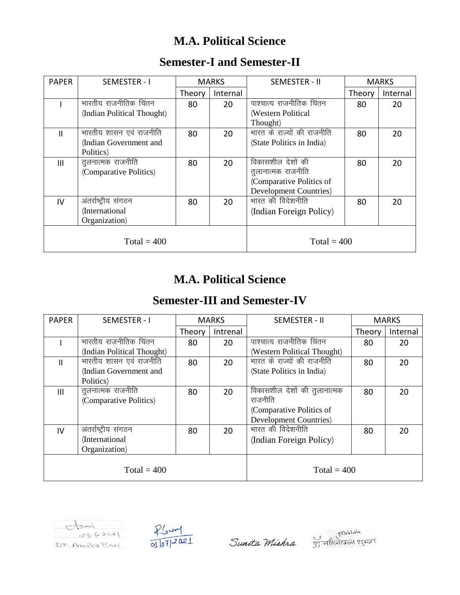### **M.A. Political Science**

| <b>PAPER</b>   | SEMESTER - I               | <b>MARKS</b> |               | SEMESTER - II                  |        | <b>MARKS</b> |  |
|----------------|----------------------------|--------------|---------------|--------------------------------|--------|--------------|--|
|                |                            | Theory       | Internal      |                                | Theory | Internal     |  |
|                | भारतीय राजनीतिक चिंतन      | 80           | 20            | पाश्चात्य राजनीतिक चितन        | 80     | 20           |  |
|                | (Indian Political Thought) |              |               | (Western Political             |        |              |  |
|                |                            |              |               | Thought)                       |        |              |  |
| Ш              | भारतीय शासन एवं राजनीति    | 80           | 20            | भारत के राज्यों की राजनीति     | 80     | 20           |  |
|                | (Indian Government and     |              |               | (State Politics in India)      |        |              |  |
|                | Politics)                  |              |               |                                |        |              |  |
| $\mathbf{III}$ | तुलनात्मक राजनीति          | 80           | 20            | विकासशील देशों की              | 80     | 20           |  |
|                | (Comparative Politics)     |              |               | तूलानात्मक राजनीति             |        |              |  |
|                |                            |              |               | (Comparative Politics of       |        |              |  |
|                |                            |              |               | <b>Development Countries</b> ) |        |              |  |
| IV             | अंतर्राष्ट्रीय संगठन       | 80           | 20            | भारत की विदेशनीति              | 80     | 20           |  |
|                | (International             |              |               | (Indian Foreign Policy)        |        |              |  |
|                | Organization)              |              |               |                                |        |              |  |
|                |                            |              |               |                                |        |              |  |
| Total = $400$  |                            |              | Total = $400$ |                                |        |              |  |

#### **Semester-I and Semester-II**

### **M.A. Political Science**

### **Semester-III and Semester-IV**

| <b>PAPER</b>  | SEMESTER - I               | <b>MARKS</b> |          | SEMESTER - II                  | <b>MARKS</b> |          |
|---------------|----------------------------|--------------|----------|--------------------------------|--------------|----------|
|               |                            | Theory       | Intrenal |                                | Theory       | Internal |
|               | भारतीय राजनीतिक चिंतन      | 80           | 20       | पाश्चात्य राजनीतिक चिंतन       | 80           | 20       |
|               | (Indian Political Thought) |              |          | (Western Political Thought)    |              |          |
| $\mathsf{II}$ | भारतीय शासन एवं राजनीति    | 80           | 20       | भारत के राज्यों की राजनीति     | 80           | 20       |
|               | (Indian Government and     |              |          | (State Politics in India)      |              |          |
|               | Politics)                  |              |          |                                |              |          |
| III           | तुलनात्मक राजनीति          | 80           | 20       | विकासशील देशों की तुलानात्मक   | 80           | 20       |
|               | (Comparative Politics)     |              |          | राजनीति                        |              |          |
|               |                            |              |          | (Comparative Politics of       |              |          |
|               |                            |              |          | <b>Development Countries</b> ) |              |          |
| IV            | अंतर्राष्ट्रीय संगठन       | 80           | 20       | भारत की विदेशनीति              | 80           | 20       |
|               | (International             |              |          | (Indian Foreign Policy)        |              |          |
|               | Organization)              |              |          |                                |              |          |
|               |                            |              |          |                                |              |          |
|               | $Total = 400$              |              |          | Total = $400$                  |              |          |



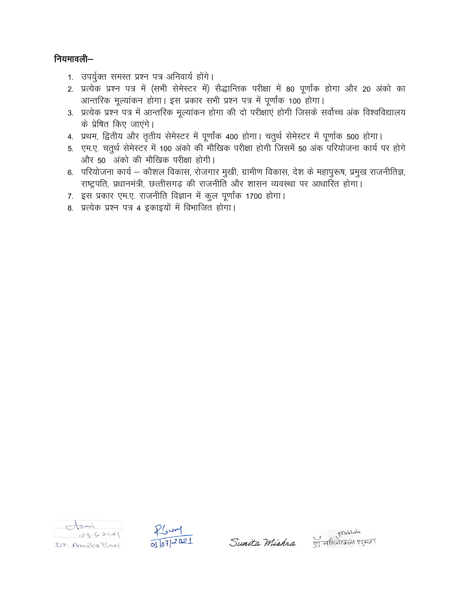#### नियमावली-

- 1. उपर्युक्त समस्त प्रश्न पत्र अनिवार्य होंगे।
- 2. प्रत्येक प्रश्न पत्र में (सभी सेमेस्टर में) सैद्धान्तिक परीक्षा में 80 पूर्णांक होगा और 20 अंको का आन्तरिक मूल्यांकन होगा। इस प्रकार सभी प्रश्न पत्र में पूर्णांक 100 होगा।
- 3. प्रत्येक प्रश्न पत्र में आन्तरिक मुल्यांकन होगा की दो परीक्षाएं होगी जिसके सर्वोच्च अंक विश्वविद्यालय के प्रेषित किए जाएंगे।
- 4. प्रथम, द्वितीय और तृतीय सेमेस्टर में पूर्णांक 400 होगा। चतुर्थ सेमेस्टर में पूर्णाक 500 होगा।
- 5. एम.ए. चतुर्थ सेमेस्टर में 100 अंको की मौखिक परीक्षा होगी जिसमें 50 अंक परियोजना कार्य पर होगे और 50 अंको की मौखिक परीक्षा होगी।
- 6. परियोजना कार्य कौशल विकास, रोजगार मुखी, ग्रामीण विकास, देश के महापुरूष, प्रमुख राजनीतिज्ञ, राष्ट्रपति, प्रधानमंत्री, छत्तीसगढ़ की राजनीति और शासन व्यवस्था पर आधारित होगा।
- 7. इस प्रकार एम.ए. राजनीति विज्ञान में कूल पूर्णांक 1700 होगा।
- 8. प्रत्येक प्रश्न पत्र 4 इकाइयों में विभाजित होगा।





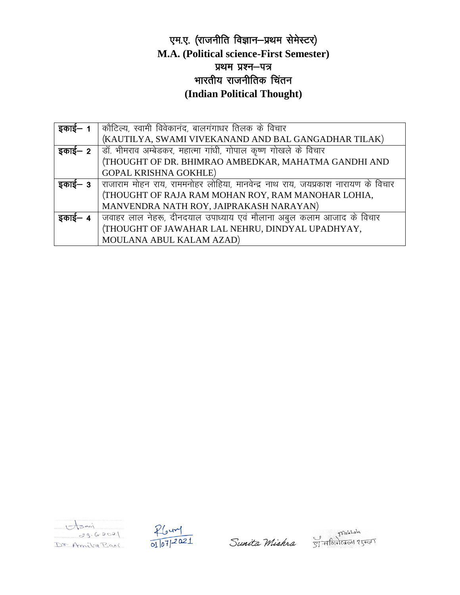#### एम.ए. (राजनीति विज्ञान-प्रथम सेमेस्टर) **M.A. (Political science-First Semester)** प्रथम प्रश्न–पत्र भारतीय राजनीतिक चिंतन (Indian Political Thought)

| इकाई—   | कौटिल्य, स्वामी विवेकानंद, बालगंगाधर तिलक के विचार                                            |
|---------|-----------------------------------------------------------------------------------------------|
|         | (KAUTILYA, SWAMI VIVEKANAND AND BAL GANGADHAR TILAK)                                          |
| इकाई— 2 | ] डॉ. भीमराव अम्बेडकर, महात्मा गांधी, गोपाल कृष्ण गोखले के विचार                              |
|         | (THOUGHT OF DR. BHIMRAO AMBEDKAR, MAHATMA GANDHI AND                                          |
|         | <b>GOPAL KRISHNA GOKHLE)</b>                                                                  |
| इकाइ— 3 | <mark>िराजाराम मोहन राय, राममनोहर लोहिया, मानवेन्द्र नाथ राय, जयप्रकाश नारायण के विचार</mark> |
|         | (THOUGHT OF RAJA RAM MOHAN ROY, RAM MANOHAR LOHIA,                                            |
|         | MANVENDRA NATH ROY, JAIPRAKASH NARAYAN)                                                       |
| डकाड— ४ | जवाहर लाल नेहरू, दीनदयाल उपाध्याय एवं मौलाना अबुल कलाम आजाद के विचार                          |
|         | (THOUGHT OF JAWAHAR LAL NEHRU, DINDYAL UPADHYAY,                                              |
|         | MOULANA ABUL KALAM AZAD)                                                                      |





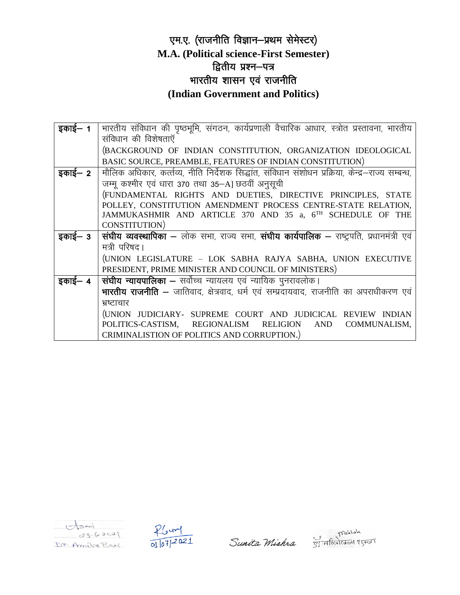#### एम.ए. (राजनीति विज्ञान-प्रथम सेमेस्टर) M.A. (Political science-First Semester) द्वितीय प्रश्न-पत्र भारतीय शासन एवं राजनीति (Indian Government and Politics)

| इकाई— 1 | भारतीय संविधान की पृष्ठभूमि, संगठन, कार्यप्रणाली वैचारिक आधार, स्त्रोत प्रस्तावना, भारतीय         |
|---------|---------------------------------------------------------------------------------------------------|
|         | संविधान की विशेषताएँ                                                                              |
|         | (BACKGROUND OF INDIAN CONSTITUTION, ORGANIZATION IDEOLOGICAL                                      |
|         | BASIC SOURCE, PREAMBLE, FEATURES OF INDIAN CONSTITUTION)                                          |
| इकाई— 2 | मौलिक अधिकार, कर्त्तव्य, नीति निर्देशक सिद्धांत, संविधान संशोधन प्रक्रिया, केन्द्र–राज्य सम्बन्ध, |
|         | जम्मू कश्मीर एवं धारा 370 तथा 35-A] छठवीं अनुसूची                                                 |
|         | (FUNDAMENTAL RIGHTS AND DUETIES, DIRECTIVE PRINCIPLES, STATE                                      |
|         | POLLEY, CONSTITUTION AMENDMENT PROCESS CENTRE-STATE RELATION,                                     |
|         | JAMMUKASHMIR AND ARTICLE 370 AND 35 a, 6TH SCHEDULE OF THE                                        |
|         | CONSTITUTION)                                                                                     |
| इकाई— 3 | संघीय व्यवस्थापिका – लोक सभा, राज्य सभा, संघीय कार्यपालिक – राष्ट्रपति, प्रधानमंत्री एवं          |
|         | मत्री परिषद।                                                                                      |
|         | (UNION LEGISLATURE - LOK SABHA RAJYA SABHA, UNION EXECUTIVE                                       |
|         | PRESIDENT, PRIME MINISTER AND COUNCIL OF MINISTERS)                                               |
| इकाई— 4 | संघीय न्यायपालिका – सर्वोच्च न्यायलय एवं न्यायिक पुनरावलोक।                                       |
|         | <b>भारतीय राजनीति –</b> जातिवाद, क्षेत्रवाद, धर्म एवं सम्प्रदायवाद, राजनीति का अपराधीकरण एवं      |
|         | भ्रष्टाचार                                                                                        |
|         | (UNION JUDICIARY- SUPREME COURT AND JUDICICAL REVIEW INDIAN                                       |
|         | POLITICS-CASTISM, REGIONALISM<br>RELIGION AND COMMUNALISM,                                        |
|         | CRIMINALISTION OF POLITICS AND CORRUPTION.)                                                       |





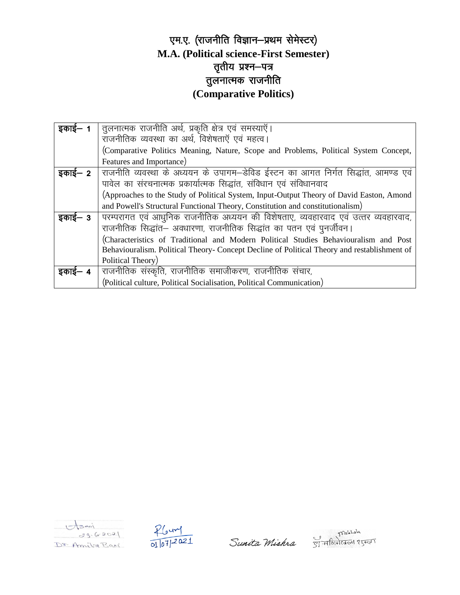#### एम.ए. (राजनीति विज्ञान-प्रथम सेमेस्टर) **M.A. (Political science-First Semester)** तृतीय प्रश्न—पत्र तुलनात्मक राजनीति **(Comparative Politics)**

| इकाई— 1 | तुलनात्मक राजनीति अर्थ, प्रकृति क्षेत्र एवं समस्याएँ।                                       |
|---------|---------------------------------------------------------------------------------------------|
|         | राजनीतिक व्यवस्था का अर्थ, विशेषताएँ एवं महत्व।                                             |
|         | (Comparative Politics Meaning, Nature, Scope and Problems, Political System Concept,        |
|         | Features and Importance)                                                                    |
| इकाई— 2 | राजनीति व्यवस्था के अध्ययन के उपागम–डेविड ईस्टन का आगत निर्गत सिद्धांत, आमण्ड एवं           |
|         | पावेल का संरचनात्मक प्रकार्यात्मक सिद्धांत, संविधान एवं संविधानवाद                          |
|         | (Approaches to the Study of Political System, Input-Output Theory of David Easton, Amond    |
|         | and Powell's Structural Functional Theory, Constitution and constitutionalism)              |
| इकाई— 3 | परम्परागत एवं आधुनिक राजनीतिक अध्ययन की विशेषताए, व्यवहारवाद एवं उत्तर व्यवहारवाद,          |
|         | राजनीतिक सिद्धांत– अवधारणा, राजनीतिक सिद्धांत का पतन एवं पुनर्जीवन।                         |
|         | (Characteristics of Traditional and Modern Political Studies Behaviouralism and Post        |
|         | Behaviouralism. Political Theory- Concept Decline of Political Theory and restablishment of |
|         | Political Theory)                                                                           |
| इकाई— ४ | राजनीतिक संस्कृति, राजनीतिक समाजीकरण, राजनीतिक संचार,                                       |
|         | (Political culture, Political Socialisation, Political Communication)                       |





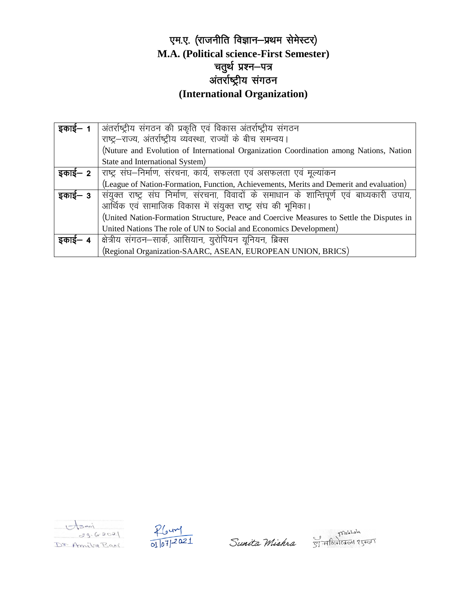#### एम.ए. (राजनीति विज्ञान-प्रथम सेमेस्टर) **M.A. (Political science-First Semester)** चतुर्थ प्रश्न—पत्र ्<br>अंतर्राष्ट्रीय संगठन **(International Organization)**

| इकाई— 1 | अंतर्राष्ट्रीय संगठन की प्रकृति एवं विकास अंतर्राष्ट्रीय संगठन                            |
|---------|-------------------------------------------------------------------------------------------|
|         | राष्ट्र-राज्य, अंतर्राष्ट्रीय व्यवस्था, राज्यों के बीच समन्वय।                            |
|         | (Nuture and Evolution of International Organization Coordination among Nations, Nation    |
|         | State and International System)                                                           |
| इकाई— 2 | राष्ट्र संघ–निर्माण, संरचना, कार्य, सफलता एवं असफलता एवं मूल्यांकन                        |
|         | (League of Nation-Formation, Function, Achievements, Merits and Demerit and evaluation)   |
| इकाई— 3 | संयुक्त राष्ट्र संघ निर्माण, संरचना, विवादों के समाधान के शान्तिपूर्ण एवं बाध्यकारी उपाय, |
|         | आर्थिक एवं सामाजिक विकास में संयुक्त राष्ट्र संघ की भूमिका।                               |
|         | (United Nation-Formation Structure, Peace and Coercive Measures to Settle the Disputes in |
|         | United Nations The role of UN to Social and Economics Development)                        |
| इकाइ– ४ | क्षेत्रीय संगठन–सार्क, आसियान, युरोपियन यूनियन, ब्रिक्स                                   |
|         | (Regional Organization-SAARC, ASEAN, EUROPEAN UNION, BRICS)                               |





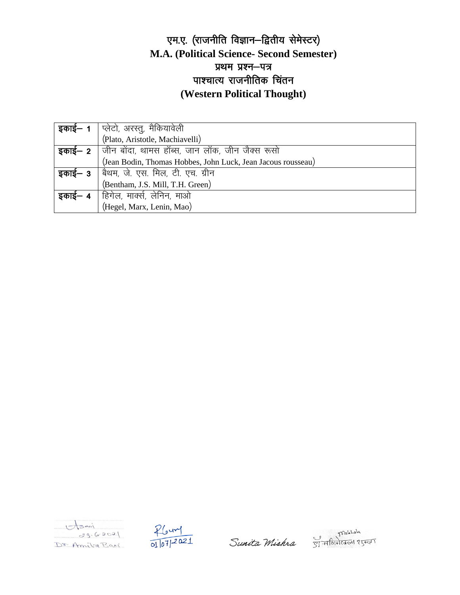#### एम.ए. (राजनीति विज्ञान-द्वितीय सेमेस्टर) **M.A. (Political Science- Second Semester)** प्रथम प्रश्न-पत्र पाश्चात्य राजनीतिक चिंतन (Western Political Thought)

| <b>इकाई– 1</b>   प्लेटो, अरस्तु, मैकियावेली                   |
|---------------------------------------------------------------|
| (Plato, Aristotle, Machiavelli)                               |
| <b>इकाई– 2</b> जीन बोंदा, थामस हॉब्स, जान लॉक, जीन जैक्स रूसो |
| (Jean Bodin, Thomas Hobbes, John Luck, Jean Jacous rousseau)  |
| <b>इकाई– 3</b>   बैथम, जे. एस. मिल, टी. एच. ग्रीन             |
| (Bentham, J.S. Mill, T.H. Green)                              |
| इकाई— 4   हिगेल, मार्क्स, लेनिन, माओ                          |
| (Hegel, Marx, Lenin, Mao)                                     |





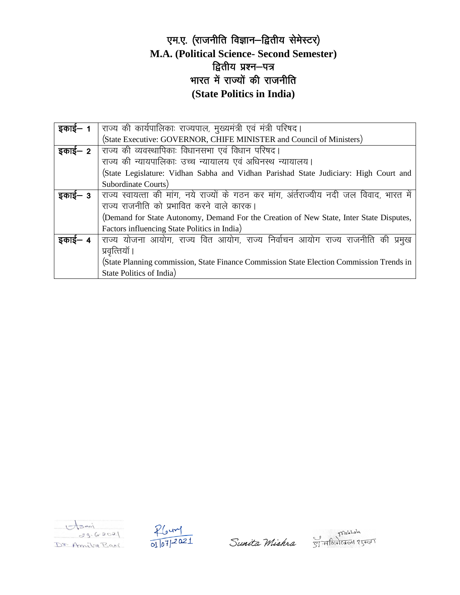#### एम.ए. (राजनीति विज्ञान-द्वितीय सेमेस्टर) **M.A. (Political Science- Second Semester)** द्वितीय प्रश्न-पत्र भारत में राज्यों की राजनीति **(State Politics in India)**

| इकाई— 1 | राज्य की कार्यपालिकाः राज्यपाल, मुख्यमंत्री एवं मंत्री परिषद।                            |
|---------|------------------------------------------------------------------------------------------|
|         | (State Executive: GOVERNOR, CHIFE MINISTER and Council of Ministers)                     |
| इकाई— 2 | राज्य की व्यवस्थापिकाः विधानसभा एवं विधान परिषद।                                         |
|         | राज्य की न्यायपालिकाः उच्च न्यायालय एवं अधिनस्थ न्यायालय।                                |
|         | (State Legislature: Vidhan Sabha and Vidhan Parishad State Judiciary: High Court and     |
|         | Subordinate Courts)                                                                      |
| इकाई— 3 | राज्य स्वायत्ता की मांग, नये राज्यों के गठन कर मांग, अंर्तराज्यीय नदी जल विवाद, भारत में |
|         | राज्य राजनीति को प्रभावित करने वाले कारक।                                                |
|         | (Demand for State Autonomy, Demand For the Creation of New State, Inter State Disputes,  |
|         | Factors influencing State Politics in India)                                             |
| इकाइ– ४ | राज्य योजना आयोग, राज्य वित आयोग, राज्य निर्वाचन आयोग राज्य राजनीति की<br>प्रमुख         |
|         | प्रवृत्तियाँ ।                                                                           |
|         | (State Planning commission, State Finance Commission State Election Commission Trends in |
|         | State Politics of India)                                                                 |





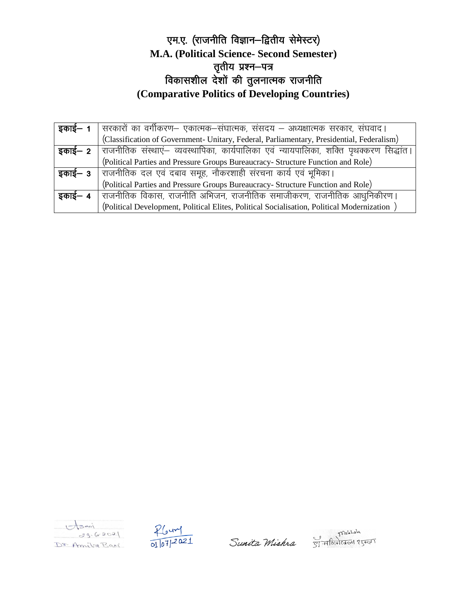#### एम.ए. (राजनीति विज्ञान-द्वितीय सेमेस्टर) **M.A. (Political Science- Second Semester)** तृतीय प्रश्न-पत्र विकासशील देशों की तुलनात्मक राजनीति **(Comparative Politics of Developing Countries)**

| इकाई— 1 | सरकारों का वर्गीकरण– एकात्मक–संघात्मक, संसदय – अध्यक्षात्मक सरकार, संघवाद।                              |
|---------|---------------------------------------------------------------------------------------------------------|
|         | (Classification of Government- Unitary, Federal, Parliamentary, Presidential, Federalism)               |
|         | <b>इकाई– 2</b>   राजनीतिक संस्थाएं– व्यवस्थापिका, कार्यपालिका एवं न्यायपालिका, शक्ति पृथक्करण सिद्धांत। |
|         | (Political Parties and Pressure Groups Bureaucracy- Structure Function and Role)                        |
| इकाई— 3 | राजनीतिक दल एवं दबाव समूह, नौकरशाही संरचना कार्य एवं भूमिका।                                            |
|         | (Political Parties and Pressure Groups Bureaucracy- Structure Function and Role)                        |
| इकाई— 4 | राजनीतिक विकास, राजनीति अभिजन, राजनीतिक समाजीकरण, राजनीतिक आधुनिकीरण।                                   |
|         | (Political Development, Political Elites, Political Socialisation, Political Modernization)             |





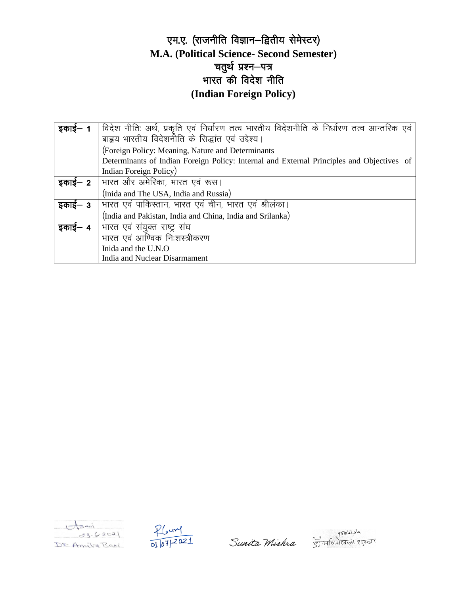#### एम.ए. (राजनीति विज्ञान-द्वितीय सेमेस्टर) M.A. (Political Science- Second Semester) चतुर्थ प्रश्न–पत्र भारत की विदेश नीति (Indian Foreign Policy)

| इकाइ– 1 | विदेश नीतिः अर्थ, प्रकृति एवं निर्धारण तत्व भारतीय विदेशनीति के निर्धारण तत्व आन्तरिक एवं |
|---------|-------------------------------------------------------------------------------------------|
|         | बाहृय भारतीय विदेशनीति के सिद्धांत एवं उद्देश्य।                                          |
|         | (Foreign Policy: Meaning, Nature and Determinants                                         |
|         | Determinants of Indian Foreign Policy: Internal and External Principles and Objectives of |
|         | Indian Foreign Policy)                                                                    |
| इकाई— 2 | भारत और अमेरिका, भारत एवं रूस।                                                            |
|         | (Inida and The USA, India and Russia)                                                     |
| इकाई— 3 | भारत एवं पाकिस्तान, भारत एवं चीन, भारत एवं श्रीलंका।                                      |
|         | (India and Pakistan, India and China, India and Srilanka)                                 |
| इकाइ— 4 | भारत एवं संयुक्त राष्ट्र संघ                                                              |
|         | भारत एवं आण्विक निःशस्त्रीकरण                                                             |
|         | Inida and the U.N.O.                                                                      |
|         | India and Nuclear Disarmament                                                             |





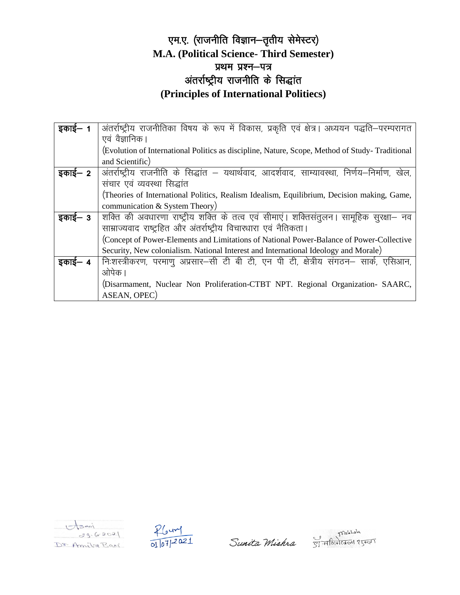#### एम.ए. (राजनीति विज्ञान-तृतीय सेमेस्टर) **M.A. (Political Science- Third Semester)** प्रथम प्रश्न-पत्र अंतर्राष्ट्रीय राजनीति के सिद्धांत (Principles of International Politiecs)

| इकाई— 1 | अंतर्राष्ट्रीय राजनीतिका विषय के रूप में विकास, प्रकृति एवं क्षेत्र। अध्ययन पद्धति–परम्परागत   |
|---------|------------------------------------------------------------------------------------------------|
|         | एवं वैज्ञानिक।                                                                                 |
|         | (Evolution of International Politics as discipline, Nature, Scope, Method of Study-Traditional |
|         | and Scientific)                                                                                |
| इकाई— 2 | अंतर्राष्ट्रीय राजनीति के सिद्धांत – यथार्थवाद, आदर्शवाद, साम्यावस्था, निर्णय–निर्माण, खेल,    |
|         | संचार एवं व्यवस्था सिद्धांत                                                                    |
|         | (Theories of International Politics, Realism Idealism, Equilibrium, Decision making, Game,     |
|         | communication & System Theory)                                                                 |
| इकाई— 3 | शक्ति की अवधारणा राष्ट्रीय शक्ति के तत्व एवं सीमाएं। शक्तिसंतुलन। सामूहिक सुरक्षा– नव          |
|         | साम्राज्यवाद राष्ट्रहित और अंतर्राष्ट्रीय विचारधारा एवं नैतिकता।                               |
|         | (Concept of Power-Elements and Limitations of National Power-Balance of Power-Collective       |
|         | Security, New colonialism. National Interest and International Ideology and Morale)            |
| इकाई— 4 | निःशस्त्रीकरण, परमाणु अप्रसार–सी टी बी टी, एन पी टी, क्षेत्रीय संगठन– सार्क, एसिआन,            |
|         | ओपेक ।                                                                                         |
|         | (Disarmament, Nuclear Non Proliferation-CTBT NPT. Regional Organization- SAARC,                |
|         | ASEAN, OPEC)                                                                                   |





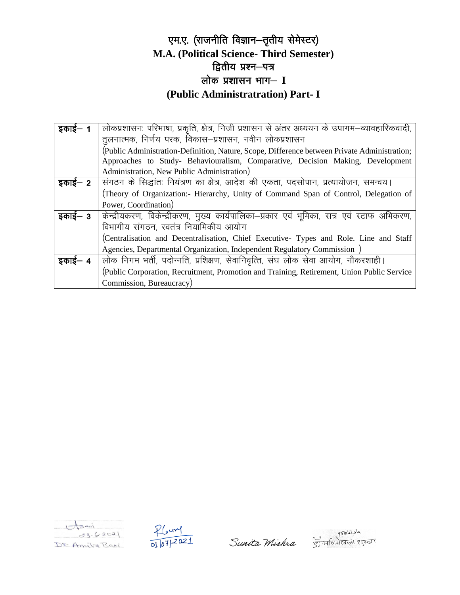#### एम.ए. (राजनीति विज्ञान-तृतीय सेमेस्टर) **M.A. (Political Science- Third Semester)** द्वितीय प्रश्न-पत्र लोक प्रशासन भाग- I (Public Administratration) Part- I

| इकाई— 1 | लोकप्रशासनः परिभाषा, प्रकृति, क्षेत्र, निजी प्रशासन से अंतर अध्ययन के उपागम–व्यावहारिकवादी,  |
|---------|----------------------------------------------------------------------------------------------|
|         | तूलनात्मक, निर्णय परक, विकास–प्रशासन, नवीन लोकप्रशासन                                        |
|         | (Public Administration-Definition, Nature, Scope, Difference between Private Administration; |
|         | Approaches to Study- Behaviouralism, Comparative, Decision Making, Development               |
|         | Administration, New Public Administration)                                                   |
| इकाई— 2 | संगठन के सिद्धांतः नियंत्रण का क्षेत्र, आदेश की एकता, पदसोपान, प्रत्यायोजन, समन्वय।          |
|         | (Theory of Organization:- Hierarchy, Unity of Command Span of Control, Delegation of         |
|         | Power, Coordination)                                                                         |
| इकाई— 3 | केन्द्रीयकरण, विकेन्द्रीकरण, मुख्य कार्यपालिका-प्रकार एवं भूमिका, सत्र एवं स्टाफ अभिकरण,     |
|         | विभागीय संगठन, स्वतंत्र नियामिकीय आयोग                                                       |
|         | (Centralisation and Decentralisation, Chief Executive- Types and Role. Line and Staff        |
|         | Agencies, Departmental Organization, Independent Regulatory Commission                       |
| इकाई— 4 | लोक निगम भर्ती, पदोन्नति, प्रशिक्षण, सेवानिवृत्ति, संघ लोक सेवा आयोग, नौकरशाही।              |
|         | (Public Corporation, Recruitment, Promotion and Training, Retirement, Union Public Service   |
|         | Commission, Bureaucracy)                                                                     |





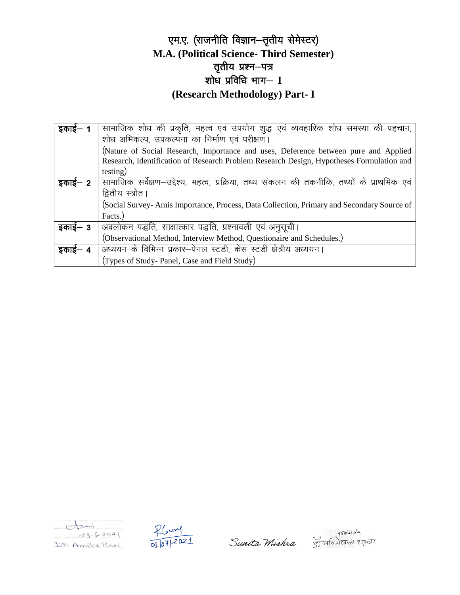#### एम.ए. (राजनीति विज्ञान-तृतीय सेमेस्टर) M.A. (Political Science-Third Semester) तृतीय प्रश्न—पत्र शोध प्रविधि भाग- I (Research Methodology) Part- I

| इकाई—   | सामाजिक शोध की प्रकृति, महत्व एवं उपयोग शुद्ध एवं व्यवहारिक शोध समस्या की पहचान,           |
|---------|--------------------------------------------------------------------------------------------|
|         | शोध अभिकल्प, उपकल्पना का निर्माण एवं परीक्षण।                                              |
|         | (Nature of Social Research, Importance and uses, Deference between pure and Applied        |
|         | Research, Identification of Research Problem Research Design, Hypotheses Formulation and   |
|         | testing)                                                                                   |
| इकाई— 2 | सामाजिक सर्वेक्षण–उद्देश्य, महत्व, प्रक्रिया, तथ्य संकलन की तकनीकि, तथ्यों के प्राथमिक एवं |
|         | द्वितीय स्त्रोत।                                                                           |
|         | (Social Survey-Amis Importance, Process, Data Collection, Primary and Secondary Source of  |
|         | Facts.)                                                                                    |
| इकाई— 3 | अवलोकन पद्धति, साक्षात्कार पद्धति, प्रश्नावली एवं अनुसूची।                                 |
|         | (Observational Method, Interview Method, Questionaire and Schedules.)                      |
| इकाइ— 4 | अध्ययन के विभिन्न प्रकार-पेनल स्टडी, केस स्टडी क्षेत्रीय अध्ययन।                           |
|         | (Types of Study-Panel, Case and Field Study)                                               |





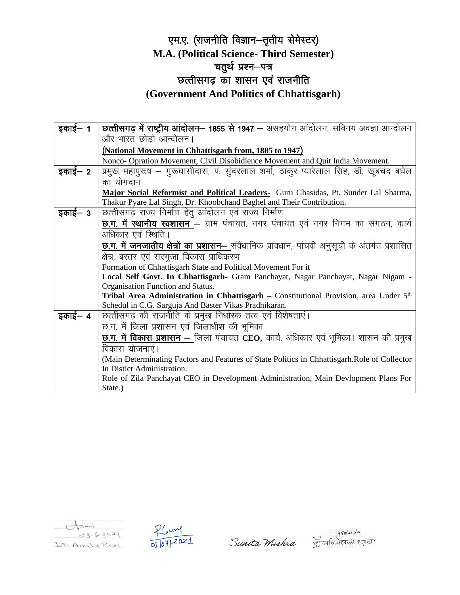#### एम.ए. (राजनीति विज्ञान-तृतीय सेमेस्टर) **M.A. (Political Science- Third Semester)** चतुर्थ प्रश्न—पत्र छत्तीसगढ़ का शासन एवं राजनीति **(Government And Politics of Chhattisgarh)**

| इकाई— 1 | <u>छत्तीसगढ़ में राष्ट्रीय आंदोलन– 1855 से 1947 – असहयोग आंदोलन, सविनय अवज्ञा आन्दोलन</u>            |
|---------|------------------------------------------------------------------------------------------------------|
|         | और भारत छोडो आन्दोलन।                                                                                |
|         | (National Movement in Chhattisgarh from, 1885 to 1947)                                               |
|         | Nonco- Opration Movement, Civil Disobidience Movement and Quit India Movement.                       |
| इकाई– 2 | प्रमुख महापुरूष – गुरूघासीदास, पं. सुंदरलाल शर्मा, ठाकुर प्यारेलाल सिंह, डॉ. खूबचंद बघेल             |
|         | का योगदान                                                                                            |
|         | Major Social Reformist and Political Leaders- Guru Ghasidas, Pt. Sunder Lal Sharma,                  |
|         | Thakur Pyare Lal Singh, Dr. Khoobchand Baghel and Their Contribution.                                |
| इकाई— 3 | छत्तीसगढ़ राज्य निर्माण हेत् आंदोलन एवं राज्य निर्माण                                                |
|         | <b>छ.ग. में स्थानीय स्वशासन –</b> ग्राम पंचायत, नगर पंचायत एवं नगर निगम का संगठन, कार्य              |
|         | अधिकार एवं स्थिति।                                                                                   |
|         | <u>छ.ग. में जनजातीय क्षेत्रों का प्रशासन– संवैधानिक प्रावधान, पांचवी अनुसूची के अंतर्गत प्रशासित</u> |
|         | क्षेत्र, बस्तर एवं सरगुजा विकास प्राधिकरण                                                            |
|         | Formation of Chhattisgarh State and Political Movement For it                                        |
|         | Local Self Govt. In Chhattisgarh- Gram Panchayat, Nagar Panchayat, Nagar Nigam -                     |
|         | Organisation Function and Status.                                                                    |
|         | Tribal Area Administration in Chhattisgarh - Constitutional Provision, area Under 5th                |
|         | Schedul in C.G. Sarguja And Baster Vikas Pradhikaran.                                                |
| इकाई— 4 | छत्तीसगढ़ की राजनीति के प्रमुख निर्धारक तत्व एवं विशेषताएं।                                          |
|         | छ.ग. में जिला प्रशासन एवं जिलाधीश की भूमिका                                                          |
|         | छ.ग. में विकास प्रशासन – जिला पंचायत CEO, कार्य, अधिकार एवं भूमिका। शासन की प्रमुख                   |
|         | विकास योजनाएं।                                                                                       |
|         | (Main Determinating Factors and Features of State Politics in Chhattisgarh.Role of Collector         |
|         | In Distict Administration.                                                                           |
|         | Role of Zila Panchayat CEO in Development Administration, Main Devlopment Plans For                  |
|         | State.)                                                                                              |





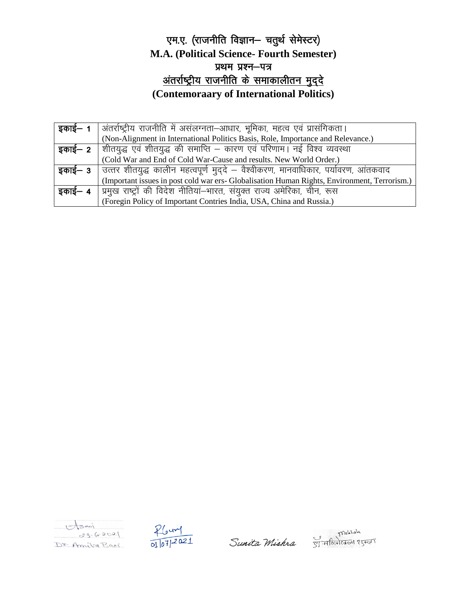#### एम.ए. (राजनीति विज्ञान- चतुर्थ सेमेस्टर) **M.A. (Political Science- Fourth Semester)** प्रथम प्रश्न-पत्र <u>अंतर्राष्ट्रीय राजनीति के समाकालीतन मुद्दे</u> **(Contemoraary of International Politics)**

| इकाई— 1             | अंतर्राष्ट्रीय राजनीति में असंलग्नता–आधार, भूमिका, महत्व एवं प्रासंगिकता।                          |
|---------------------|----------------------------------------------------------------------------------------------------|
|                     | (Non-Alignment in International Politics Basis, Role, Importance and Relevance.)                   |
|                     | <b>इकाई– 2</b>   शीतयुद्ध एवं शीतयुद्ध की समाप्ति – कारण एवं परिणाम। नई विश्व व्यवस्था             |
|                     | (Cold War and End of Cold War-Cause and results. New World Order.)                                 |
|                     | <b>इकाई— 3  </b> उत्तर शीतयुद्ध कालीन महत्वपूर्ण मुद्दे — वैश्वीकरण, मानवाधिकार, पर्यावरण, आंतकवाद |
|                     | (Important issues in post cold war ers- Globalisation Human Rights, Environment, Terrorism.)       |
| इकाई— 4 $\parallel$ | प्रिमुख राष्ट्रों की विदेश नीतियां—भारत, संयुक्त राज्य अमेरिका, चीन, रूस                           |
|                     | (Foregin Policy of Important Contries India, USA, China and Russia.)                               |





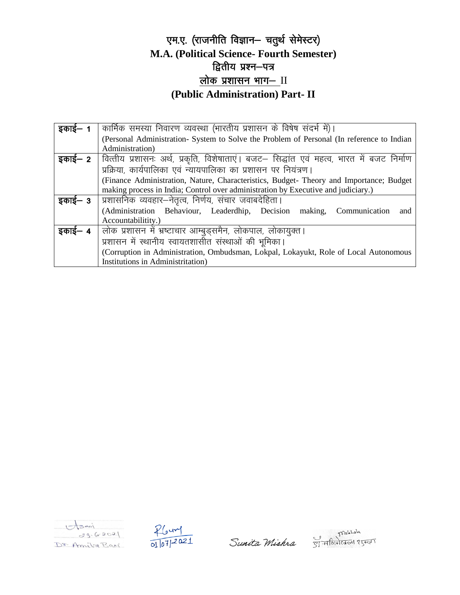#### एम.ए. (राजनीति विज्ञान- चतुर्थ सेमेस्टर) M.A. (Political Science- Fourth Semester) द्वितीय प्रश्न-पत्र <u>लोक प्रशासन भाग- II</u> (Public Administration) Part-II

| इकाई— 1 | कार्मिक समस्या निवारण व्यवस्था (भारतीय प्रशासन के विषेष संदर्भ में)।                                       |
|---------|------------------------------------------------------------------------------------------------------------|
|         | (Personal Administration- System to Solve the Problem of Personal (In reference to Indian                  |
|         | Administration)                                                                                            |
|         | <b>इकाई— 2</b>   वित्तीय प्रशासनः अर्थ, प्रकृति, विशेषाताएं। बजट— सिद्धांत एवं महत्व, भारत में बजट निर्माण |
|         | प्रक्रिया, कार्यपालिका एवं न्यायपालिका का प्रशासन पर नियंत्रण।                                             |
|         | (Finance Administration, Nature, Characteristics, Budget-Theory and Importance; Budget                     |
|         | making process in India; Control over administration by Executive and judiciary.)                          |
| इकाई— 3 | प्रशासनिक व्यवहार–नेतृत्व, निर्णय, संचार जवाबदेहिता।                                                       |
|         | (Administration Behaviour, Leaderdhip, Decision making, Communication<br>and                               |
|         | Accountabilitity.)                                                                                         |
| इकाई— 4 | लोक प्रशासन में भ्रष्टाचार आम्बुड्समैन, लोकपाल, लोकायुक्त।                                                 |
|         | प्रशासन में स्थानीय स्वायतशासीत संस्थाओं की भूमिका।                                                        |
|         | (Corruption in Administration, Ombudsman, Lokpal, Lokayukt, Role of Local Autonomous                       |
|         | Institutions in Administritation)                                                                          |





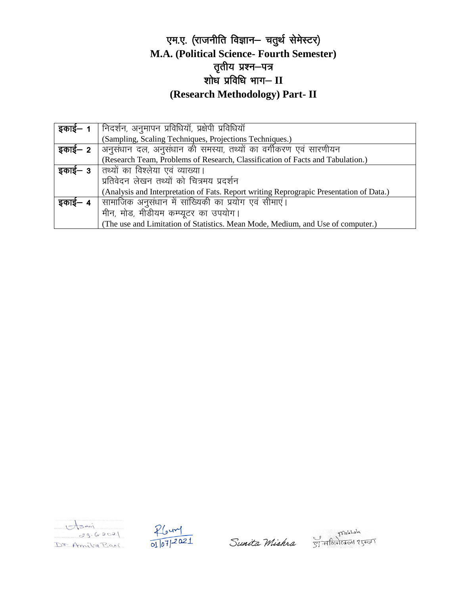#### एम.ए. (राजनीति विज्ञान- चतुर्थ सेमेस्टर) **M.A. (Political Science- Fourth Semester)** तृतीय प्रश्न—पत्र शोध प्रविधि भाग-II **(Research Methodology) Part- II**

| इकाइ– 1 | निदर्शन, अनुमापन प्रविधियॉ, प्रक्षेपी प्रविधियॉ                                         |
|---------|-----------------------------------------------------------------------------------------|
|         | (Sampling, Scaling Techniques, Projections Techniques.)                                 |
|         | <b>इकाई– 2</b>   अनुसंधान दल, अनुसंधान की समस्या, तथ्यों का वर्गीकरण एवं सारणीयन        |
|         | (Research Team, Problems of Research, Classification of Facts and Tabulation.)          |
|         | इकाई– 3   तथ्यों का विश्लेया एवं व्याख्या।                                              |
|         | प्रतिवेदन लेखन तथ्यों को चित्रमय प्रदर्शन                                               |
|         | (Analysis and Interpretation of Fats. Report writing Reprograpic Presentation of Data.) |
| इकाई— 4 | सामाजिक अनुसंधान में सांख्यिकी का प्रयोग एवं सीमाएं।                                    |
|         | मीन, मोड, मीडीयम कम्प्यूटर का उपयोग।                                                    |
|         | (The use and Limitation of Statistics. Mean Mode, Medium, and Use of computer.)         |